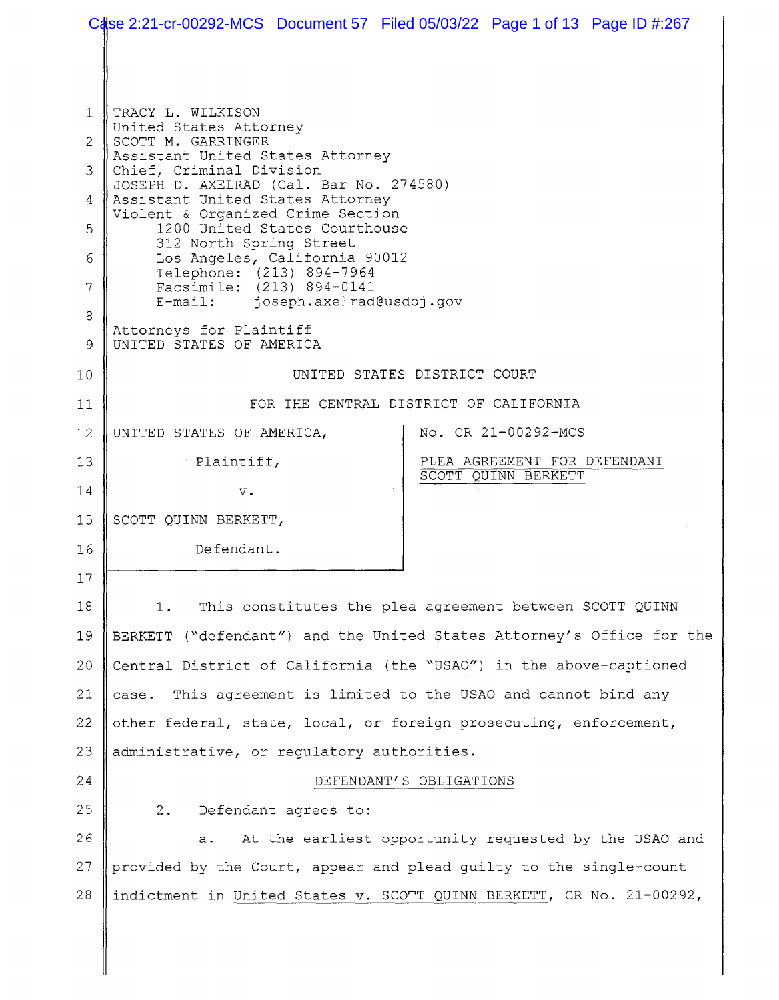|                           |                                                                                                                                                                                                 | Case 2:21-cr-00292-MCS Document 57 Filed 05/03/22 Page 1 of 13 Page ID #:267 |  |
|---------------------------|-------------------------------------------------------------------------------------------------------------------------------------------------------------------------------------------------|------------------------------------------------------------------------------|--|
| 1                         | TRACY L. WILKISON                                                                                                                                                                               |                                                                              |  |
| $\mathbf{2}^{\mathsf{I}}$ | United States Attorney<br>SCOTT M. GARRINGER<br>Assistant United States Attorney                                                                                                                |                                                                              |  |
|                           |                                                                                                                                                                                                 |                                                                              |  |
| 3                         | Chief, Criminal Division<br>JOSEPH D. AXELRAD (Cal. Bar No. 274580)                                                                                                                             |                                                                              |  |
| 4                         | Assistant United States Attorney<br>Violent & Organized Crime Section<br>1200 United States Courthouse<br>312 North Spring Street<br>Los Angeles, California 90012<br>Telephone: (213) 894-7964 |                                                                              |  |
| 5                         |                                                                                                                                                                                                 |                                                                              |  |
| 6                         |                                                                                                                                                                                                 |                                                                              |  |
| 7                         | Facsimile: (213) 894-0141<br>E-mail: joseph.axelrad@usdoj.gov                                                                                                                                   |                                                                              |  |
| 8<br>9                    | Attorneys for Plaintiff<br>UNITED STATES OF AMERICA                                                                                                                                             |                                                                              |  |
| 10                        | UNITED STATES DISTRICT COURT                                                                                                                                                                    |                                                                              |  |
| 11                        | FOR THE CENTRAL DISTRICT OF CALIFORNIA                                                                                                                                                          |                                                                              |  |
| 12                        | UNITED STATES OF AMERICA,                                                                                                                                                                       | No. CR 21-00292-MCS                                                          |  |
| 13                        | Plaintiff,                                                                                                                                                                                      | PLEA AGREEMENT FOR DEFENDANT<br>SCOTT QUINN BERKETT                          |  |
| 14                        | $V$ .                                                                                                                                                                                           |                                                                              |  |
| 15                        | SCOTT QUINN BERKETT,                                                                                                                                                                            |                                                                              |  |
| 16                        | Defendant.                                                                                                                                                                                      |                                                                              |  |
| 17                        |                                                                                                                                                                                                 |                                                                              |  |
| 18                        | This constitutes the plea agreement between SCOTT QUINN<br>1.                                                                                                                                   |                                                                              |  |
| 19                        | BERKETT ("defendant") and the United States Attorney's Office for the                                                                                                                           |                                                                              |  |
| 20                        | Central District of California (the "USAO") in the above-captioned                                                                                                                              |                                                                              |  |
| 21                        | This agreement is limited to the USAO and cannot bind any<br>case.                                                                                                                              |                                                                              |  |
| 22                        | other federal, state, local, or foreign prosecuting, enforcement,                                                                                                                               |                                                                              |  |
| 23                        | administrative, or regulatory authorities.                                                                                                                                                      |                                                                              |  |
| 24                        | DEFENDANT'S OBLIGATIONS                                                                                                                                                                         |                                                                              |  |
| 25                        | Defendant agrees to:<br>2.                                                                                                                                                                      |                                                                              |  |
| 26                        | At the earliest opportunity requested by the USAO and<br>а.                                                                                                                                     |                                                                              |  |
| 27                        | provided by the Court, appear and plead guilty to the single-count                                                                                                                              |                                                                              |  |
| 28                        |                                                                                                                                                                                                 | indictment in United States v. SCOTT QUINN BERKETT, CR No. 21-00292,         |  |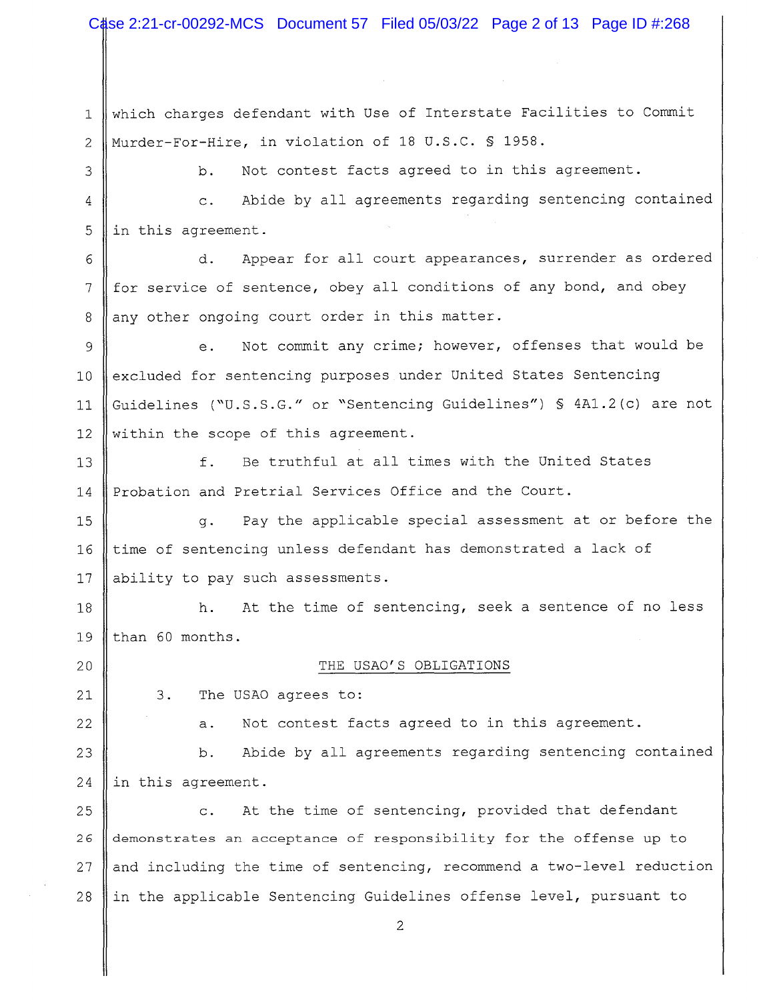1 2 3 4 5 which charges defendant with Use of Interstate Facilities to Commit Murder-For-Hire, in violation of 18 U.S.C. § 1958. b. Not contest facts agreed to in this agreement. c. Abide by all agreements regarding sentencing contained in this agreement.

6 7 8 d. Appear for all court appearances, surrender as ordered for service of sentence, obey all conditions of any bond, and obey any other ongoing court order in this matter.

9 10 11 12 e. Not commit any crime; however, offenses that would be excluded for sentencing purposes under United States Sentencing Guidelines ("U.S.S.G." or "Sentencing Guidelines") § 4Al.2(c) are not within the scope of this agreement.

13 14 f. Be truthful at all times with the United States Probation and Pretrial Services Office and the Court.

15 g. Pay the applicable special assessment at or before the 16  $\parallel$  time of sentencing unless defendant has demonstrated a lack of 17 || ability to pay such assessments.

18 h. At the time of sentencing, seek a sentence of no less 19  $\parallel$  than 60 months.

20  $\parallel$  THE USAO'S OBLIGATIONS

21 22 3. The USAO agrees to:

a. Not contest facts agreed to in this agreement.

23 b. Abide by all agreements regarding sentencing contained 24 || in this agreement.

25 c. At the time of sentencing, provided that defendant 26 demonstrates an acceptance of responsibility for the offense up to 27 and including the time of sentencing, recommend a two-level reduction 28  $\parallel$  in the applicable Sentencing Guidelines offense level, pursuant to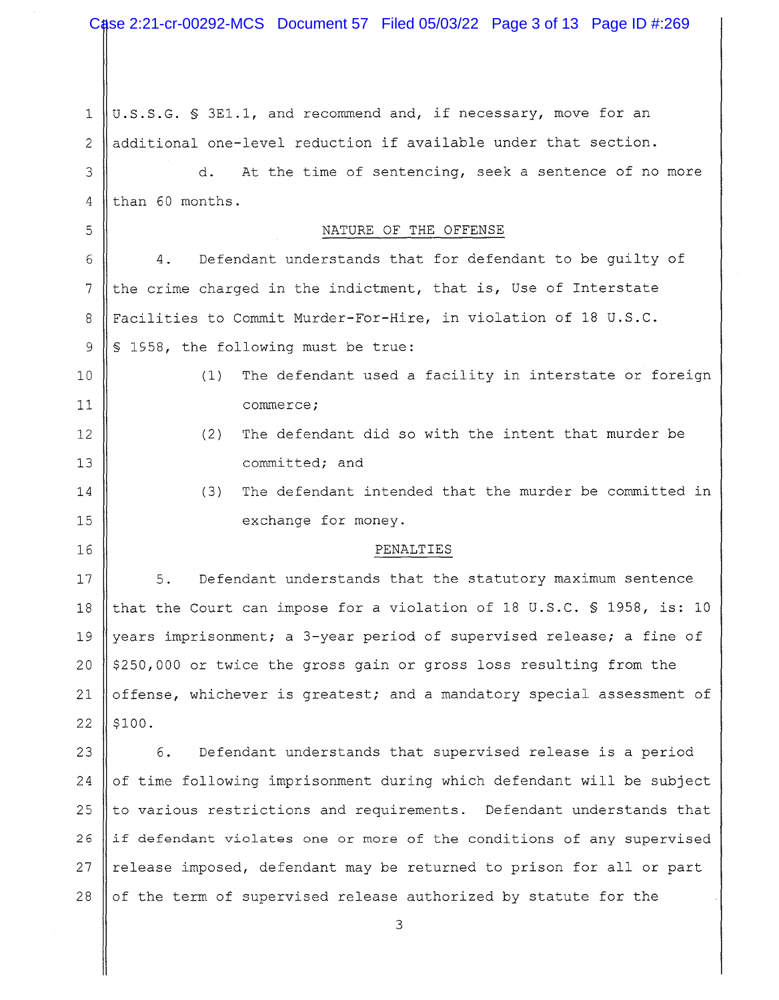1 2 3 U.S.S.G. § 3El.l, and recommend and, if necessary, move for an additional one-level reduction if available under that section. d. At the time of sentencing, seek a sentence of no more  $4$  than 60 months. 5 NATURE OF THE OFFENSE 6 7 8 9 10 11 12 13 14 15 4. Defendant understands that for defendant to be guilty of the crime charged in the indictment, that is, Use of Interstate Facilities to Commit Murder-For-Hire, in violation of 18 U.S.C. § 1958, the following must be true: (1) (2) (3) The defendant used a facility in interstate or foreign commerce; The defendant did so with the intent that murder be committed; and The defendant intended that the murder be committed in exchange for money. 16 || PENALTIES 17 || 5. Defendant understands that the statutory maximum sentence 18 that the Court can impose for a violation of 18 U.S.C. § 1958, is: 10 19 years imprisonment; a 3-year period of supervised release; a fine of 20  $\parallel$  \$250,000 or twice the gross gain or gross loss resulting from the 21  $\parallel$  offense, whichever is greatest; and a mandatory special assessment of  $22$  | \$100. 23  $\parallel$  6. Defendant understands that supervised release is a period  $24$  of time following imprisonment during which defendant will be subject 25  $\parallel$  to various restrictions and requirements. Defendant understands that  $26$  if defendant violates one or more of the conditions of any supervised 27 || release imposed, defendant may be returned to prison for all or part 28  $\parallel$  of the term of supervised release authorized by statute for the 3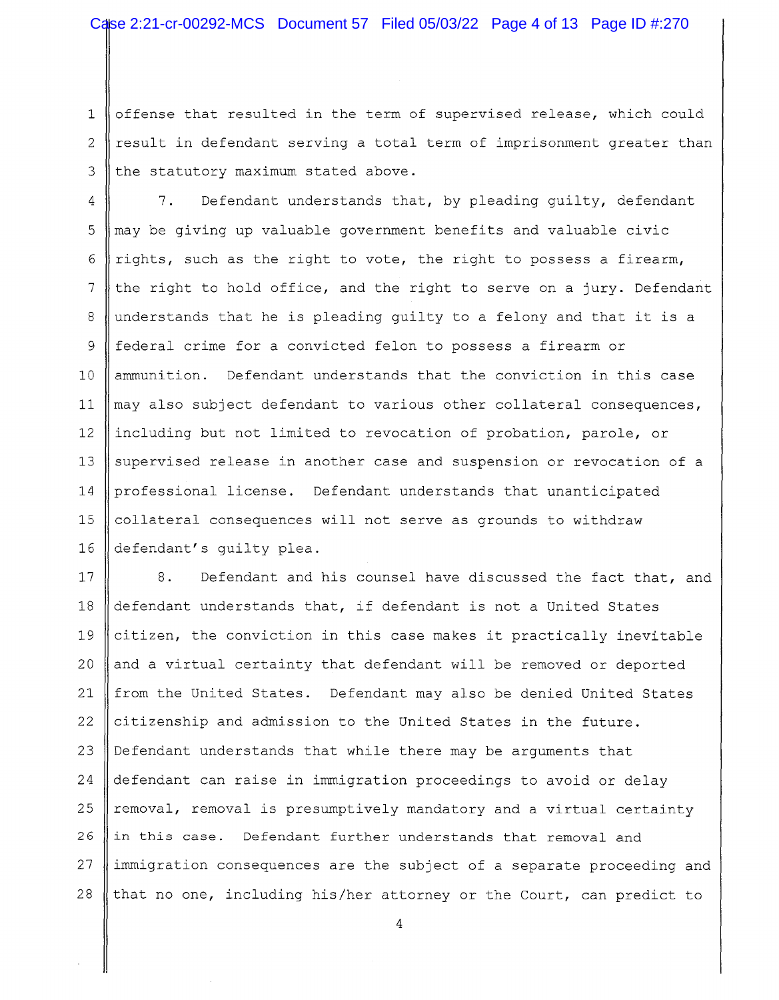1 offense that resulted in the term of supervised release, which could 2  $\parallel$  result in defendant serving a total term of imprisonment greater than  $3$  the statutory maximum stated above.

4 7. Defendant understands that, by pleading quilty, defendant  $5 \parallel$  may be giving up valuable government benefits and valuable civic 6 fights, such as the right to vote, the right to possess a firearm, 7 the right to hold office, and the right to serve on a jury. Defendant 8 understands that he is pleading guilty to a felony and that it is a 9 federal crime for a convicted felon to possess a firearm or 10 || ammunition. Defendant understands that the conviction in this case 11  $\parallel$  may also subject defendant to various other collateral consequences, 12 including but not limited to revocation of probation, parole, or 13 || supervised release in another case and suspension or revocation of a 14 professional license. Defendant understands that unanticipated 15 16 collateral consequences will not serve as grounds to withdraw defendant's guilty plea.

17 18 19 20 8. Defendant and his counsel have discussed the fact that, and defendant understands that, if defendant is not a United States citizen, the conviction in this case makes it practically inevitable and a virtual certainty that defendant will be removed or deported 21 from the United States. Defendant may also be denied United States 22 citizenship and admission to the United States in the future. 23 Defendant understands that while there may be arguments that 24 defendant can raise in immigration proceedings to avoid or delay 25  $\parallel$  removal, removal is presumptively mandatory and a virtual certainty 26 in this case. Defendant further understands that removal and 27 immigration consequences are the subject of a separate proceeding and 28 that no one, including his/her attorney or the Court, can predict to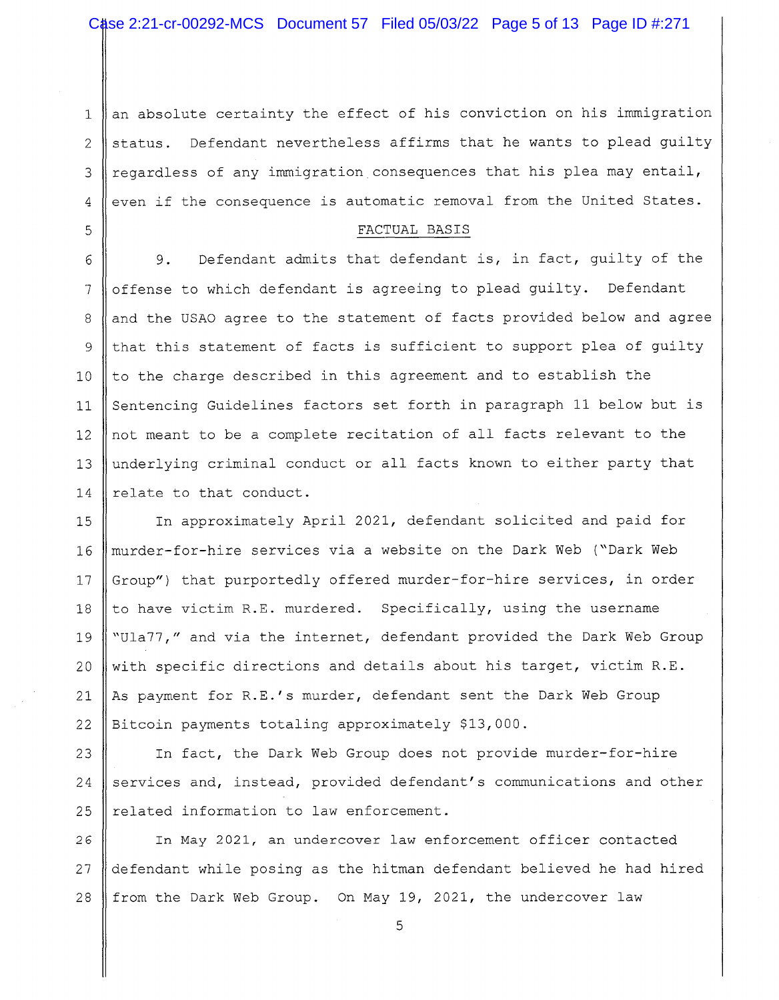1 2 3 4 an absolute certainty the effect of his conviction on his immigration status. Defendant nevertheless affirms that he wants to plead guilty regardless of any immigration consequences that his plea may entail, even if the consequence is automatic removal from the United States.

#### FACTUAL BASIS

5

6 9. Defendant admits that defendant is, in fact, guilty of the 7 | offense to which defendant is agreeing to plead guilty. Defendant 8 || and the USAO agree to the statement of facts provided below and agree  $9$  that this statement of facts is sufficient to support plea of guilty 10  $\parallel$  to the charge described in this agreement and to establish the 11 Sentencing Guidelines factors set forth in paragraph 11 below but is 12 not meant to be a complete recitation of all facts relevant to the 13 underlying criminal conduct or all facts known to either party that 14  $\parallel$  relate to that conduct.

15 In approximately April 2021, defendant solicited and paid for 16 murder-for-hire services via a website on the Dark Web ("Dark Web 17 || Group") that purportedly offered murder-for-hire services, in order 18 || to have victim R.E. murdered. Specifically, using the username 19 Wula77," and via the internet, defendant provided the Dark Web Group 20 || with specific directions and details about his target, victim R.E. 21 As payment for R.E.'s murder, defendant sent the Dark Web Group 22 Bitcoin payments totaling approximately \$13,000.

23 | In fact, the Dark Web Group does not provide murder-for-hire 24 services and, instead, provided defendant's communications and other  $25$  | related information to law enforcement.

26 In May 2021, an undercover law enforcement officer contacted 27 defendant while posing as the hitman defendant believed he had hired 28 from the Dark Web Group. On May 19, 2021, the undercover law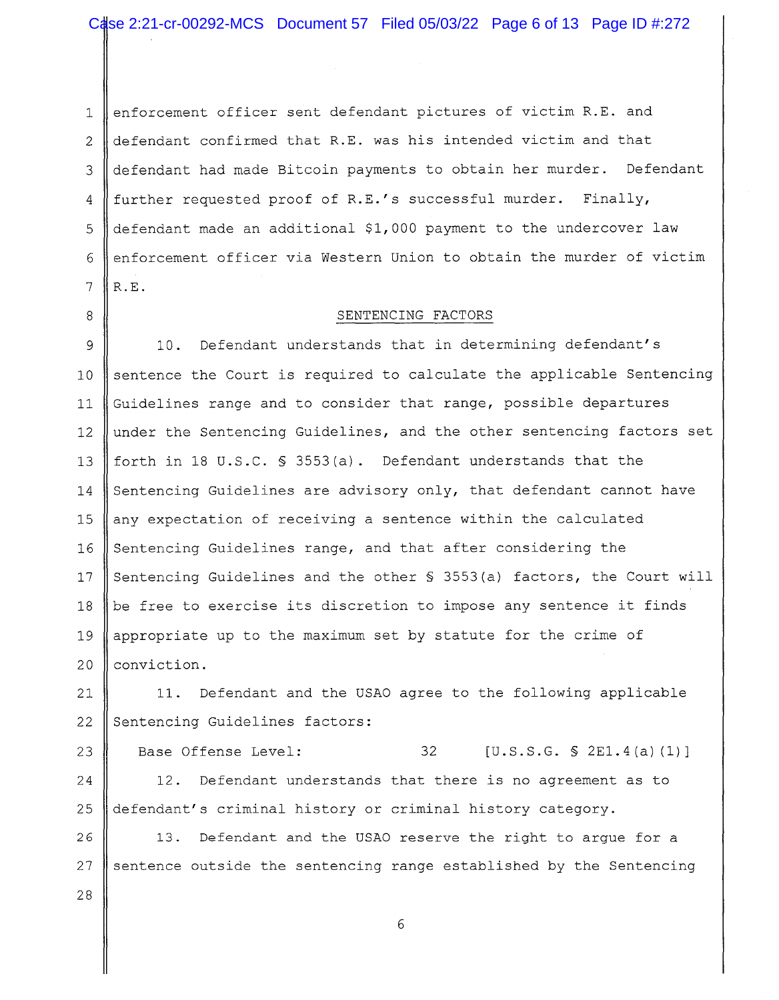1 enforcement officer sent defendant pictures of victim R.E. and 2 defendant confirmed that R.E. was his intended victim and that 3 defendant had made Bitcoin payments to obtain her murder. Defendant 4 | further requested proof of R.E.'s successful murder. Finally, 5 defendant made an additional \$1,000 payment to the undercover law 6 enforcement officer via Western Union to obtain the murder of victim  $7 \parallel R.E.$ 

28

#### 8 B SENTENCING FACTORS

9 10. Defendant understands that in determining defendant's 10 11 12 13 14 15 16 17 18 19 20 sentence the Court is required to calculate the applicable Sentencing Guidelines range and to consider that range, possible departures under the Sentencing Guidelines, and the other sentencing factors set forth in 18 U.S.C. § 3553(a). Defendant understands that the Sentencing Guidelines are advisory only, that defendant cannot have any expectation of receiving a sentence within the calculated Sentencing Guidelines range, and that after considering the Sentencing Guidelines and the other \$ 3553(a) factors, the Court will be free to exercise its discretion to impose any sentence it finds appropriate up to the maximum set by statute for the crime of conviction.

21 22 11. Defendant and the USAO agree to the following applicable Sentencing Guidelines factors:

23 24 25 Base Offense Level:  $32$   $[U.S.S.G. S 2E1.4(a) (1)]$ 12. Defendant understands that there is no agreement as to defendant's criminal history or criminal history category.

26 27 13. Defendant and the USAO reserve the right to argue for a sentence outside the sentencing range established by the Sentencing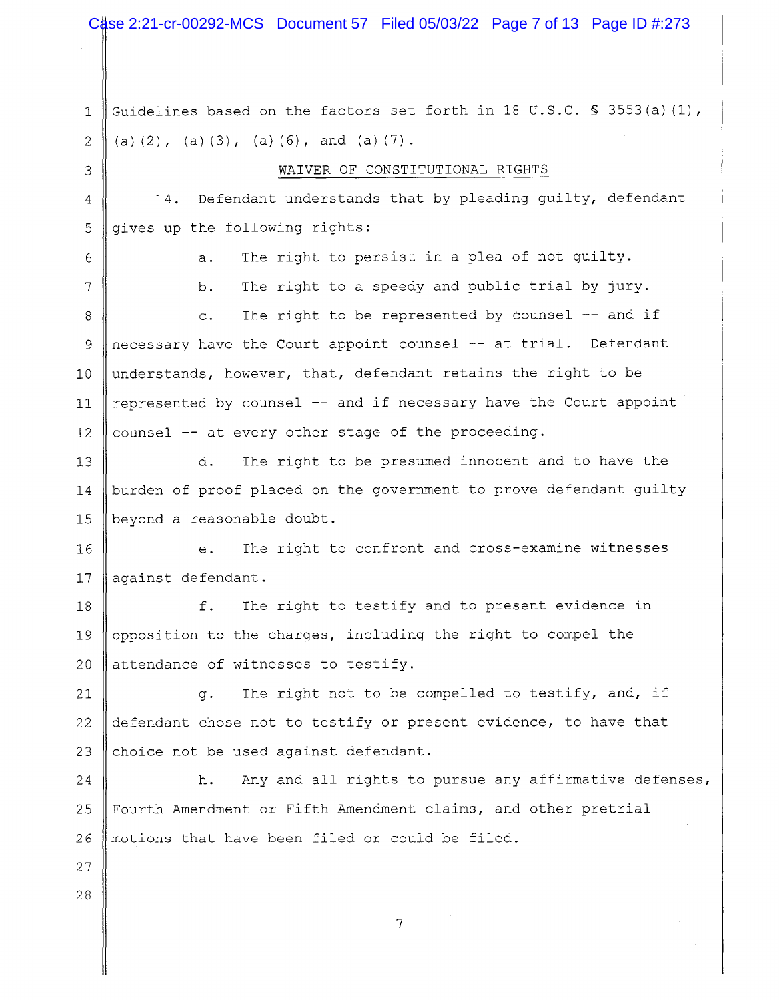Case 2:21-cr-00292-MCS Document 57 Filed 05/03/22 Page 7 of 13 Page ID #:273

1 Guidelines based on the factors set forth in 18 U.S.C. § 3553(a)(1),  $2 \parallel (a) (2)$ , (a) (3), (a) (6), and (a) (7). 3 WAIVER OF CONSTITUTIONAL RIGHTS  $4 \parallel 14$ . Defendant understands that by pleading guilty, defendant  $5$  || gives up the following rights: 6 7 8 9 10 11 12 13 a. The right to persist in a plea of not guilty. b. The right to a speedy and public trial by jury. c. The right to be represented by counsel  $-$  and if necessary have the Court appoint counsel -- at trial. Defendant understands, however, that, defendant retains the right to be represented by counsel -- and if necessary have the Court appoint counsel -- at every other stage of the proceeding. d. The right to be presumed innocent and to have the 14 | burden of proof placed on the government to prove defendant guilty 15 || beyond a reasonable doubt. 16 || e. The right to confront and cross-examine witnesses 17 || against defendant. 18 f. The right to testify and to present evidence in 19 || opposition to the charges, including the right to compel the 20  $\parallel$  attendance of witnesses to testify. 21  $\parallel$  q. The right not to be compelled to testify, and, if 22  $\parallel$  defendant chose not to testify or present evidence, to have that 23 choice not be used against defendant. 24 h. Any and all rights to pursue any affirmative defenses, 25 Fourth Amendment or Fifth Amendment claims, and other pretrial 26 || motions that have been filed or could be filed. 27 28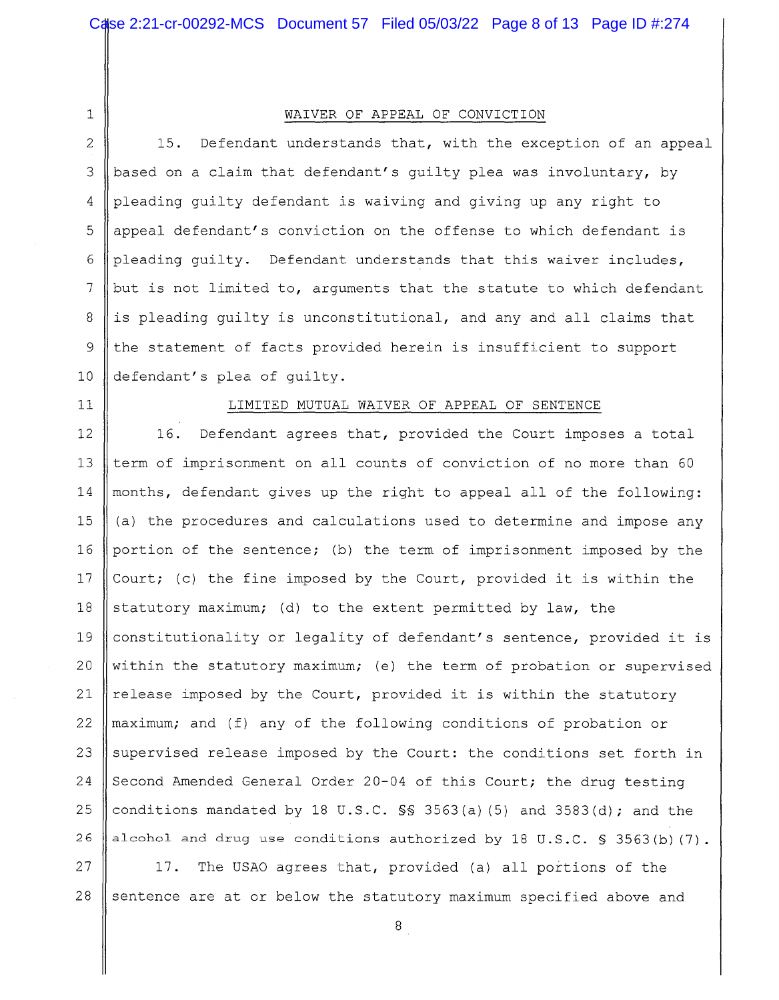1

#### WAIVER OF APPEAL OF CONVICTION

2 15. Defendant understands that, with the exception of an appeal 3 || based on a claim that defendant's quilty plea was involuntary, by 4 pleading guilty defendant is waiving and giving up any right to 5  $\parallel$  appeal defendant's conviction on the offense to which defendant is 6 pleading quilty. Defendant understands that this waiver includes, 7 | but is not limited to, arguments that the statute to which defendant 8 is pleading guilty is unconstitutional, and any and all claims that 9 the statement of facts provided herein is insufficient to support 10 defendant's plea of guilty.

## 11 || LIMITED MUTUAL WAIVER OF APPEAL OF SENTENCE

12 | 16. Defendant agrees that, provided the Court imposes a total 13 || term of imprisonment on all counts of conviction of no more than 60 14  $\parallel$  months, defendant gives up the right to appeal all of the following: 15  $\parallel$  (a) the procedures and calculations used to determine and impose any 16 portion of the sentence; (b) the term of imprisonment imposed by the 17  $\vert$  Court; (c) the fine imposed by the Court, provided it is within the 18 Statutory maximum; (d) to the extent permitted by law, the 19 Constitutionality or legality of defendant's sentence, provided it is 20 Within the statutory maximum; (e) the term of probation or supervised 21 || release imposed by the Court, provided it is within the statutory 22  $\parallel$  maximum; and (f) any of the following conditions of probation or 23 Supervised release imposed by the Court: the conditions set forth in 24 Second Amended General Order 20-04 of this Court; the drug testing 25 conditions mandated by 18 U.S.C.  $\frac{1}{5}$  3563(a)(5) and 3583(d); and the 26 || alcohol and drug use conditions authorized by 18 U.S.C. § 3563(b)(7).

 $27$  || 17. The USAO agrees that, provided (a) all portions of the 28 sentence are at or below the statutory maximum specified above and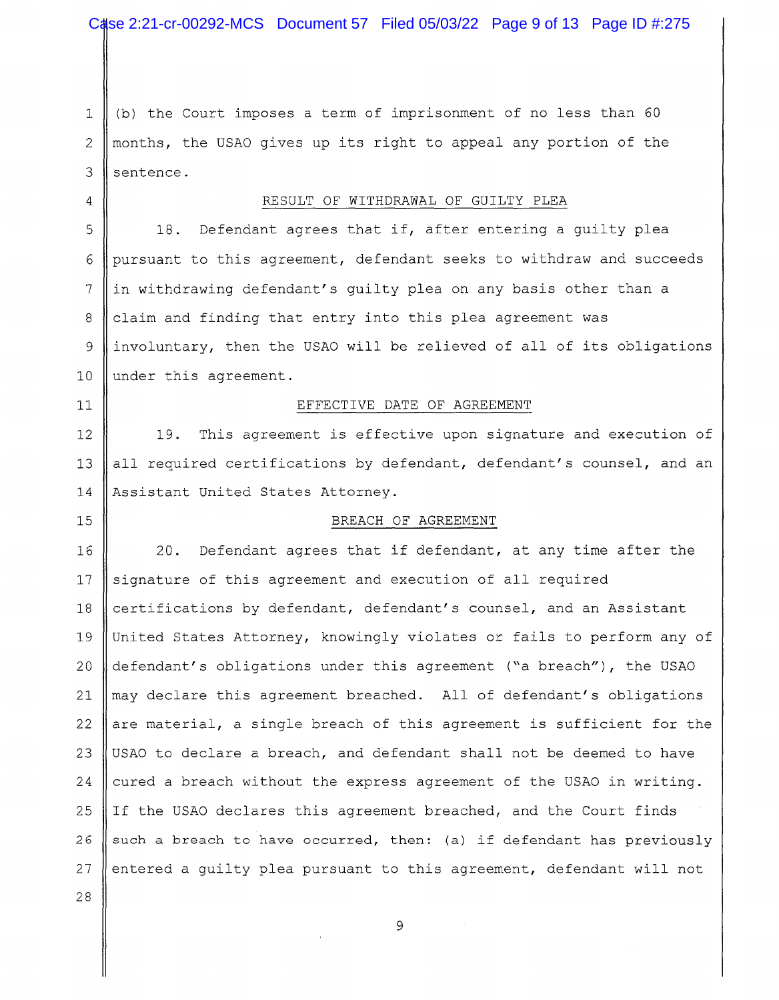1  $\parallel$  (b) the Court imposes a term of imprisonment of no less than 60 2 months, the USAO gives up its right to appeal any portion of the  $3$  sentence.

### 4 RESULT OF WITHDRAWAL OF GUILTY PLEA

5  $\parallel$  18. Defendant agrees that if, after entering a guilty plea 6 pursuant to this agreement, defendant seeks to withdraw and succeeds 7 in withdrawing defendant's quilty plea on any basis other than a 8 claim and finding that entry into this plea agreement was 9 | involuntary, then the USAO will be relieved of all of its obligations 10 || under this agreement.

#### 11 || EFFECTIVE DATE OF AGREEMENT

12 19. This agreement is effective upon signature and execution of 13 all required certifications by defendant, defendant's counsel, and an 14 Assistant United States Attorney.

#### 15 || BREACH OF AGREEMENT

16 20. Defendant agrees that if defendant, at any time after the 17 Signature of this agreement and execution of all required 18 certifications by defendant, defendant's counsel, and an Assistant 19 United States Attorney, knowingly violates or fails to perform any of 20 defendant's obligations under this agreement ("a breach"), the USAO 21  $\parallel$  may declare this agreement breached. All of defendant's obligations 22 are material, a single breach of this agreement is sufficient for the 23  $\parallel$  USAO to declare a breach, and defendant shall not be deemed to have 24 cured a breach without the express agreement of the USAO in writing. 25 If the USAO declares this agreement breached, and the Court finds 26 such a breach to have occurred, then: (a) if defendant has previously 27 || entered a guilty plea pursuant to this agreement, defendant will not

9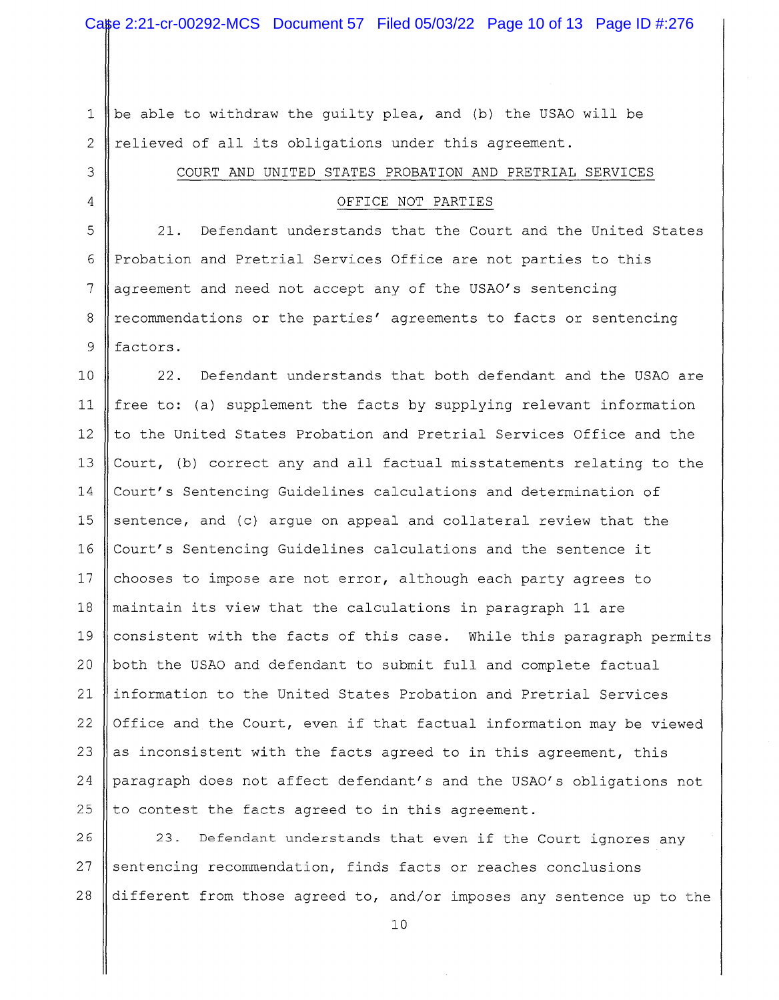1 | be able to withdraw the quilty plea, and (b) the USAO will be 2 || relieved of all its obligations under this agreement.

# 3 || COURT AND UNITED STATES PROBATION AND PRETRIAL SERVICES

# 4 OFFICE NOT PARTIES

 $5\parallel$  21. Defendant understands that the Court and the United States 6 Probation and Pretrial Services Office are not parties to this  $7 \parallel$  agreement and need not accept any of the USAO's sentencing 8 | recommendations or the parties' agreements to facts or sentencing 9 | factors.

10 22. Defendant understands that both defendant and the USAO are 11  $\parallel$  free to: (a) supplement the facts by supplying relevant information 12 || to the United States Probation and Pretrial Services Office and the 13 Court, (b) correct any and all factual misstatements relating to the 14 Court's Sentencing Guidelines calculations and determination of 15  $\parallel$  sentence, and (c) argue on appeal and collateral review that the 16 Court's Sentencing Guidelines calculations and the sentence it 17  $\parallel$  chooses to impose are not error, although each party agrees to 18 maintain its view that the calculations in paragraph 11 are 19  $\parallel$  consistent with the facts of this case. While this paragraph permits 20  $\parallel$  both the USAO and defendant to submit full and complete factual 21 information to the United States Probation and Pretrial Services 22 Office and the Court, even if that factual information may be viewed 23  $\parallel$  as inconsistent with the facts agreed to in this agreement, this 24 | paragraph does not affect defendant's and the USAO's obligations not 25  $\parallel$  to contest the facts agreed to in this agreement.

26 | 23. Defendant understands that even if the Court ignores any 27  $\parallel$  sentencing recommendation, finds facts or reaches conclusions 28 different from those agreed to, and/or imposes any sentence up to the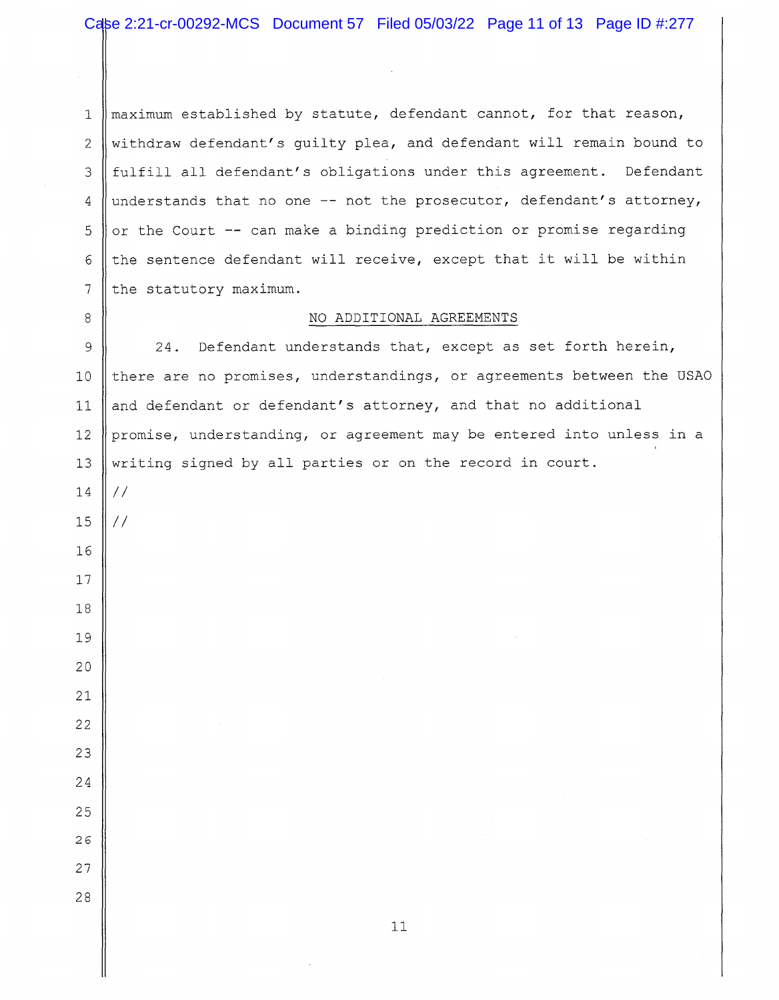$\parallel$  maximum established by statute, defendant cannot, for that reason, 2 withdraw defendant's guilty plea, and defendant will remain bound to 3 fulfill all defendant's obligations under this agreement. Defendant 4 understands that no one  $-$  not the prosecutor, defendant's attorney,  $\sigma$  or the Court -- can make a binding prediction or promise regarding 6 the sentence defendant will receive, except that it will be within the statutory maximum.

#### 8 NO ADDITIONAL AGREEMENTS

9 || 24. Defendant understands that, except as set forth herein,  $\parallel$  there are no promises, understandings, or agreements between the USAO 11 || and defendant or defendant's attorney, and that no additional 12 promise, understanding, or agreement may be entered into unless in a 13 writing signed by all parties or on the record in court.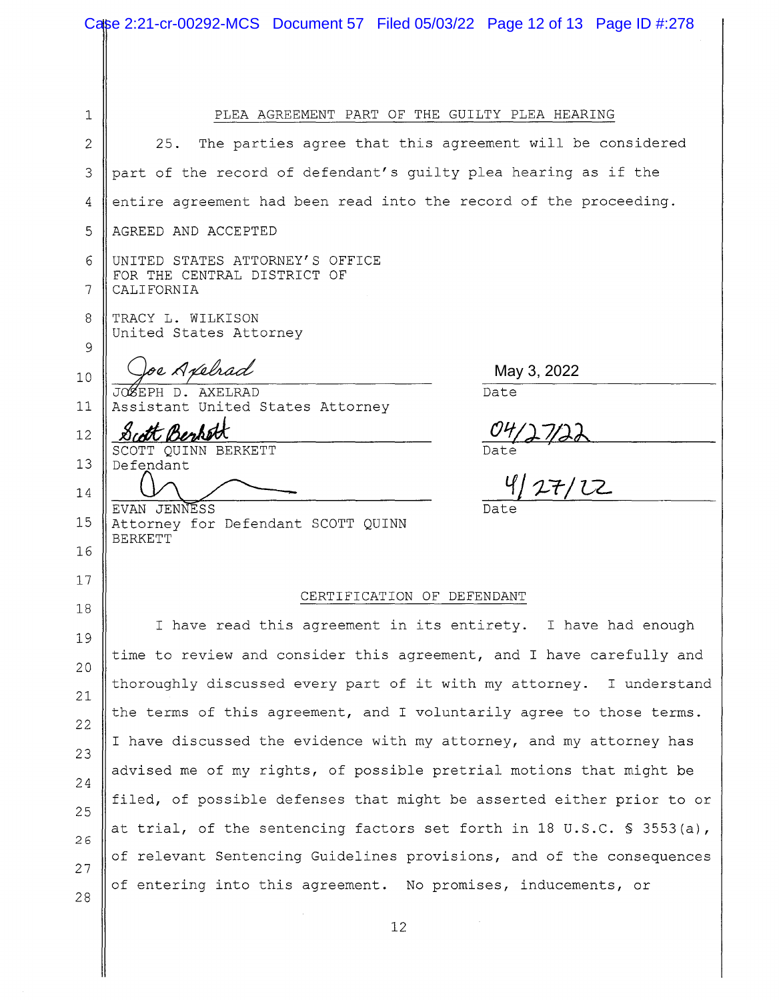| Case 2:21-cr-00292-MCS Document 57 Filed 05/03/22 Page 12 of 13 Page ID #:278 |                                                                              |  |  |
|-------------------------------------------------------------------------------|------------------------------------------------------------------------------|--|--|
|                                                                               |                                                                              |  |  |
| 1                                                                             | PLEA AGREEMENT PART OF THE GUILTY PLEA HEARING                               |  |  |
| $\mathbf{2}$                                                                  | The parties agree that this agreement will be considered<br>25.              |  |  |
| 3                                                                             | part of the record of defendant's guilty plea hearing as if the              |  |  |
|                                                                               | entire agreement had been read into the record of the proceeding.            |  |  |
| 4                                                                             |                                                                              |  |  |
| 5                                                                             | AGREED AND ACCEPTED                                                          |  |  |
| 6<br>7                                                                        | UNITED STATES ATTORNEY'S OFFICE<br>FOR THE CENTRAL DISTRICT OF<br>CALIFORNIA |  |  |
| 8                                                                             | TRACY L. WILKISON                                                            |  |  |
| 9                                                                             | United States Attorney                                                       |  |  |
| 10                                                                            | oe Axelrad<br>May 3, 2022                                                    |  |  |
| 11                                                                            | JOSEPH D. AXELRAD<br>Date<br>Assistant United States Attorney                |  |  |
| 12                                                                            |                                                                              |  |  |
| 13                                                                            | SCOTT QUINN BERKETT<br>Date<br>127/12<br>Defendant                           |  |  |
| 14                                                                            |                                                                              |  |  |
| 15                                                                            | EVAN JENNESS<br>Date<br>Attorney for Defendant SCOTT QUINN                   |  |  |
| 16                                                                            | <b>BERKETT</b>                                                               |  |  |
| 17                                                                            |                                                                              |  |  |
| 18                                                                            | CERTIFICATION OF DEFENDANT                                                   |  |  |
| 19                                                                            | I have read this agreement in its entirety. I have had enough                |  |  |
| 20                                                                            | time to review and consider this agreement, and I have carefully and         |  |  |
|                                                                               | thoroughly discussed every part of it with my attorney. I understand         |  |  |
| 21<br>22                                                                      | the terms of this agreement, and I voluntarily agree to those terms.         |  |  |
|                                                                               | I have discussed the evidence with my attorney, and my attorney has          |  |  |
| 23                                                                            | advised me of my rights, of possible pretrial motions that might be          |  |  |
| 24                                                                            | filed, of possible defenses that might be asserted either prior to or        |  |  |
| 25                                                                            | at trial, of the sentencing factors set forth in 18 U.S.C. § 3553(a),        |  |  |
| 26                                                                            | of relevant Sentencing Guidelines provisions, and of the consequences        |  |  |
| 27                                                                            | of entering into this agreement. No promises, inducements, or                |  |  |
| 28                                                                            |                                                                              |  |  |
|                                                                               | 12                                                                           |  |  |

II